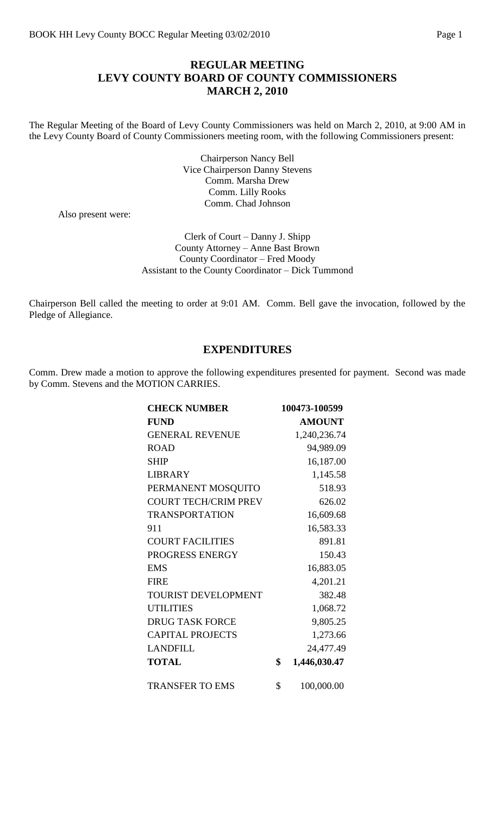## **REGULAR MEETING LEVY COUNTY BOARD OF COUNTY COMMISSIONERS MARCH 2, 2010**

The Regular Meeting of the Board of Levy County Commissioners was held on March 2, 2010, at 9:00 AM in the Levy County Board of County Commissioners meeting room, with the following Commissioners present:

> Chairperson Nancy Bell Vice Chairperson Danny Stevens Comm. Marsha Drew Comm. Lilly Rooks Comm. Chad Johnson

Also present were:

Clerk of Court – Danny J. Shipp County Attorney – Anne Bast Brown County Coordinator – Fred Moody Assistant to the County Coordinator – Dick Tummond

Chairperson Bell called the meeting to order at 9:01 AM. Comm. Bell gave the invocation, followed by the Pledge of Allegiance.

#### **EXPENDITURES**

Comm. Drew made a motion to approve the following expenditures presented for payment. Second was made by Comm. Stevens and the MOTION CARRIES.

| <b>CHECK NUMBER</b>         | 100473-100599      |
|-----------------------------|--------------------|
| <b>FUND</b>                 | <b>AMOUNT</b>      |
| <b>GENERAL REVENUE</b>      | 1,240,236.74       |
| <b>ROAD</b>                 | 94,989.09          |
| <b>SHIP</b>                 | 16,187.00          |
| LIBRARY                     | 1,145.58           |
| PERMANENT MOSQUITO          | 518.93             |
| <b>COURT TECH/CRIM PREV</b> | 626.02             |
| <b>TRANSPORTATION</b>       | 16,609.68          |
| 911                         | 16,583.33          |
| <b>COURT FACILITIES</b>     | 891.81             |
| PROGRESS ENERGY             | 150.43             |
| <b>EMS</b>                  | 16,883.05          |
| <b>FIRE</b>                 | 4,201.21           |
| TOURIST DEVELOPMENT         | 382.48             |
| <b>UTILITIES</b>            | 1,068.72           |
| <b>DRUG TASK FORCE</b>      | 9,805.25           |
| <b>CAPITAL PROJECTS</b>     | 1,273.66           |
| <b>LANDFILL</b>             | 24,477.49          |
| <b>TOTAL</b>                | \$<br>1,446,030.47 |
| <b>TRANSFER TO EMS</b>      | \$<br>100,000.00   |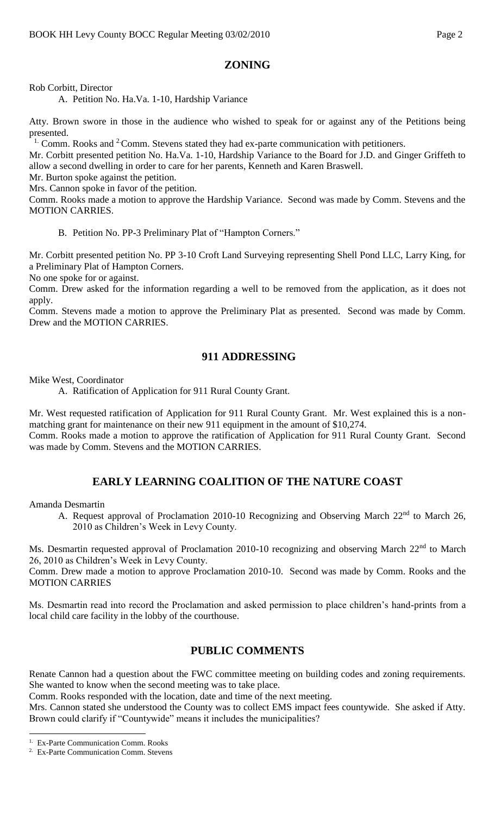## **ZONING**

Rob Corbitt, Director

A. Petition No. Ha.Va. 1-10, Hardship Variance

Atty. Brown swore in those in the audience who wished to speak for or against any of the Petitions being presented.

<sup>1.</sup> Comm. Rooks and  $2$  Comm. Stevens stated they had ex-parte communication with petitioners.

Mr. Corbitt presented petition No. Ha.Va. 1-10, Hardship Variance to the Board for J.D. and Ginger Griffeth to allow a second dwelling in order to care for her parents, Kenneth and Karen Braswell.

Mr. Burton spoke against the petition.

Mrs. Cannon spoke in favor of the petition.

Comm. Rooks made a motion to approve the Hardship Variance. Second was made by Comm. Stevens and the MOTION CARRIES.

B. Petition No. PP-3 Preliminary Plat of "Hampton Corners."

Mr. Corbitt presented petition No. PP 3-10 Croft Land Surveying representing Shell Pond LLC, Larry King, for a Preliminary Plat of Hampton Corners.

No one spoke for or against.

Comm. Drew asked for the information regarding a well to be removed from the application, as it does not apply.

Comm. Stevens made a motion to approve the Preliminary Plat as presented. Second was made by Comm. Drew and the MOTION CARRIES.

#### **911 ADDRESSING**

Mike West, Coordinator

A. Ratification of Application for 911 Rural County Grant.

Mr. West requested ratification of Application for 911 Rural County Grant. Mr. West explained this is a nonmatching grant for maintenance on their new 911 equipment in the amount of \$10,274. Comm. Rooks made a motion to approve the ratification of Application for 911 Rural County Grant. Second

was made by Comm. Stevens and the MOTION CARRIES.

#### **EARLY LEARNING COALITION OF THE NATURE COAST**

Amanda Desmartin

A. Request approval of Proclamation 2010-10 Recognizing and Observing March  $22<sup>nd</sup>$  to March 26, 2010 as Children's Week in Levy County.

Ms. Desmartin requested approval of Proclamation 2010-10 recognizing and observing March 22<sup>nd</sup> to March 26, 2010 as Children's Week in Levy County.

Comm. Drew made a motion to approve Proclamation 2010-10. Second was made by Comm. Rooks and the MOTION CARRIES

Ms. Desmartin read into record the Proclamation and asked permission to place children's hand-prints from a local child care facility in the lobby of the courthouse.

## **PUBLIC COMMENTS**

Renate Cannon had a question about the FWC committee meeting on building codes and zoning requirements. She wanted to know when the second meeting was to take place.

Comm. Rooks responded with the location, date and time of the next meeting.

Mrs. Cannon stated she understood the County was to collect EMS impact fees countywide. She asked if Atty. Brown could clarify if "Countywide" means it includes the municipalities?

 $\overline{a}$ 

<sup>1.</sup> Ex-Parte Communication Comm. Rooks

<sup>2.</sup> Ex-Parte Communication Comm. Stevens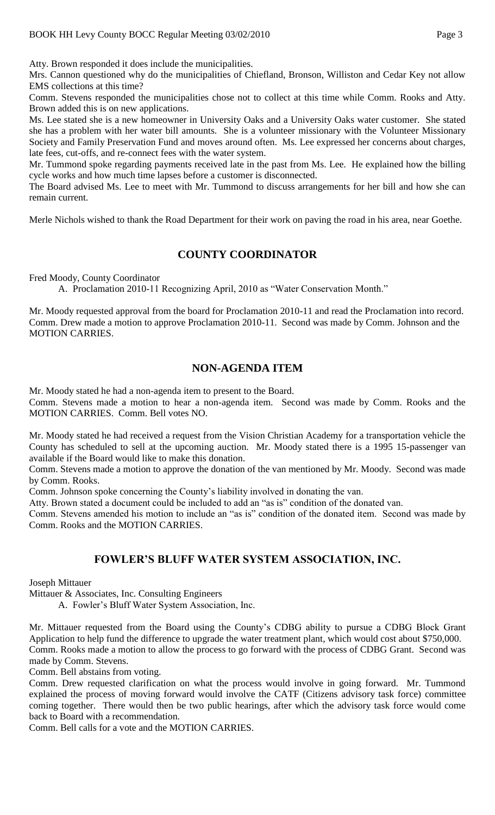Atty. Brown responded it does include the municipalities.

Mrs. Cannon questioned why do the municipalities of Chiefland, Bronson, Williston and Cedar Key not allow EMS collections at this time?

Comm. Stevens responded the municipalities chose not to collect at this time while Comm. Rooks and Atty. Brown added this is on new applications.

Ms. Lee stated she is a new homeowner in University Oaks and a University Oaks water customer. She stated she has a problem with her water bill amounts. She is a volunteer missionary with the Volunteer Missionary Society and Family Preservation Fund and moves around often. Ms. Lee expressed her concerns about charges, late fees, cut-offs, and re-connect fees with the water system.

Mr. Tummond spoke regarding payments received late in the past from Ms. Lee. He explained how the billing cycle works and how much time lapses before a customer is disconnected.

The Board advised Ms. Lee to meet with Mr. Tummond to discuss arrangements for her bill and how she can remain current.

Merle Nichols wished to thank the Road Department for their work on paving the road in his area, near Goethe.

#### **COUNTY COORDINATOR**

Fred Moody, County Coordinator

A. Proclamation 2010-11 Recognizing April, 2010 as "Water Conservation Month."

Mr. Moody requested approval from the board for Proclamation 2010-11 and read the Proclamation into record. Comm. Drew made a motion to approve Proclamation 2010-11. Second was made by Comm. Johnson and the MOTION CARRIES.

#### **NON-AGENDA ITEM**

Mr. Moody stated he had a non-agenda item to present to the Board.

Comm. Stevens made a motion to hear a non-agenda item. Second was made by Comm. Rooks and the MOTION CARRIES. Comm. Bell votes NO.

Mr. Moody stated he had received a request from the Vision Christian Academy for a transportation vehicle the County has scheduled to sell at the upcoming auction. Mr. Moody stated there is a 1995 15-passenger van available if the Board would like to make this donation.

Comm. Stevens made a motion to approve the donation of the van mentioned by Mr. Moody. Second was made by Comm. Rooks.

Comm. Johnson spoke concerning the County's liability involved in donating the van.

Atty. Brown stated a document could be included to add an "as is" condition of the donated van.

Comm. Stevens amended his motion to include an "as is" condition of the donated item. Second was made by Comm. Rooks and the MOTION CARRIES.

## **FOWLER'S BLUFF WATER SYSTEM ASSOCIATION, INC.**

Joseph Mittauer

Mittauer & Associates, Inc. Consulting Engineers

A. Fowler's Bluff Water System Association, Inc.

Mr. Mittauer requested from the Board using the County's CDBG ability to pursue a CDBG Block Grant Application to help fund the difference to upgrade the water treatment plant, which would cost about \$750,000. Comm. Rooks made a motion to allow the process to go forward with the process of CDBG Grant. Second was made by Comm. Stevens.

Comm. Bell abstains from voting.

Comm. Drew requested clarification on what the process would involve in going forward. Mr. Tummond explained the process of moving forward would involve the CATF (Citizens advisory task force) committee coming together. There would then be two public hearings, after which the advisory task force would come back to Board with a recommendation.

Comm. Bell calls for a vote and the MOTION CARRIES.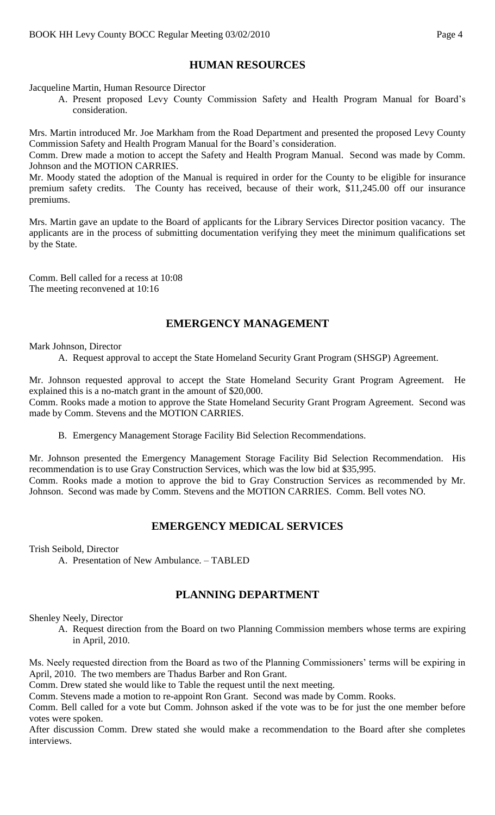# **HUMAN RESOURCES**

Jacqueline Martin, Human Resource Director

A. Present proposed Levy County Commission Safety and Health Program Manual for Board's consideration.

Mrs. Martin introduced Mr. Joe Markham from the Road Department and presented the proposed Levy County Commission Safety and Health Program Manual for the Board's consideration.

Comm. Drew made a motion to accept the Safety and Health Program Manual. Second was made by Comm. Johnson and the MOTION CARRIES.

Mr. Moody stated the adoption of the Manual is required in order for the County to be eligible for insurance premium safety credits. The County has received, because of their work, \$11,245.00 off our insurance premiums.

Mrs. Martin gave an update to the Board of applicants for the Library Services Director position vacancy. The applicants are in the process of submitting documentation verifying they meet the minimum qualifications set by the State.

Comm. Bell called for a recess at 10:08 The meeting reconvened at 10:16

# **EMERGENCY MANAGEMENT**

Mark Johnson, Director

A. Request approval to accept the State Homeland Security Grant Program (SHSGP) Agreement.

Mr. Johnson requested approval to accept the State Homeland Security Grant Program Agreement. He explained this is a no-match grant in the amount of \$20,000.

Comm. Rooks made a motion to approve the State Homeland Security Grant Program Agreement. Second was made by Comm. Stevens and the MOTION CARRIES.

B. Emergency Management Storage Facility Bid Selection Recommendations.

Mr. Johnson presented the Emergency Management Storage Facility Bid Selection Recommendation. His recommendation is to use Gray Construction Services, which was the low bid at \$35,995. Comm. Rooks made a motion to approve the bid to Gray Construction Services as recommended by Mr. Johnson. Second was made by Comm. Stevens and the MOTION CARRIES. Comm. Bell votes NO.

## **EMERGENCY MEDICAL SERVICES**

Trish Seibold, Director

A. Presentation of New Ambulance. – TABLED

## **PLANNING DEPARTMENT**

Shenley Neely, Director

A. Request direction from the Board on two Planning Commission members whose terms are expiring in April, 2010.

Ms. Neely requested direction from the Board as two of the Planning Commissioners' terms will be expiring in April, 2010. The two members are Thadus Barber and Ron Grant.

Comm. Drew stated she would like to Table the request until the next meeting.

Comm. Stevens made a motion to re-appoint Ron Grant. Second was made by Comm. Rooks.

Comm. Bell called for a vote but Comm. Johnson asked if the vote was to be for just the one member before votes were spoken.

After discussion Comm. Drew stated she would make a recommendation to the Board after she completes interviews.